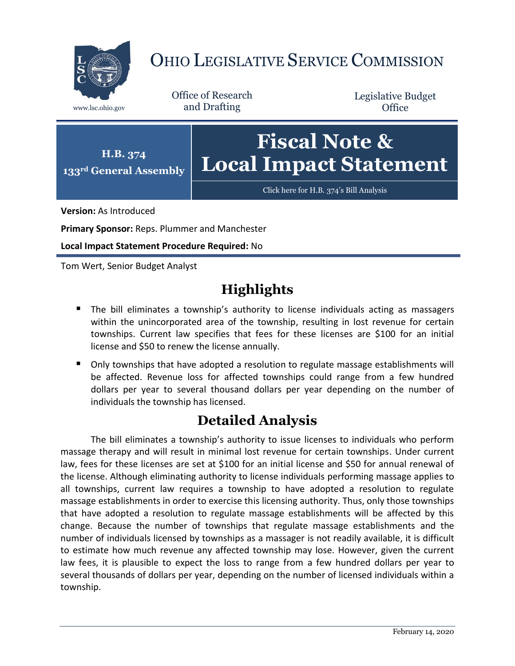

## OHIO LEGISLATIVE SERVICE COMMISSION

Office of Research www.lsc.ohio.gov and Drafting

Legislative Budget **Office** 



**Version:** As Introduced

**Primary Sponsor:** Reps. Plummer and Manchester

**Local Impact Statement Procedure Required:** No

Tom Wert, Senior Budget Analyst

## **Highlights**

- The bill eliminates a township's authority to license individuals acting as massagers within the unincorporated area of the township, resulting in lost revenue for certain townships. Current law specifies that fees for these licenses are \$100 for an initial license and \$50 to renew the license annually.
- Only townships that have adopted a resolution to regulate massage establishments will be affected. Revenue loss for affected townships could range from a few hundred dollars per year to several thousand dollars per year depending on the number of individuals the township has licensed.

## **Detailed Analysis**

The bill eliminates a township's authority to issue licenses to individuals who perform massage therapy and will result in minimal lost revenue for certain townships. Under current law, fees for these licenses are set at \$100 for an initial license and \$50 for annual renewal of the license. Although eliminating authority to license individuals performing massage applies to all townships, current law requires a township to have adopted a resolution to regulate massage establishments in order to exercise this licensing authority. Thus, only those townships that have adopted a resolution to regulate massage establishments will be affected by this change. Because the number of townships that regulate massage establishments and the number of individuals licensed by townships as a massager is not readily available, it is difficult to estimate how much revenue any affected township may lose. However, given the current law fees, it is plausible to expect the loss to range from a few hundred dollars per year to several thousands of dollars per year, depending on the number of licensed individuals within a township.